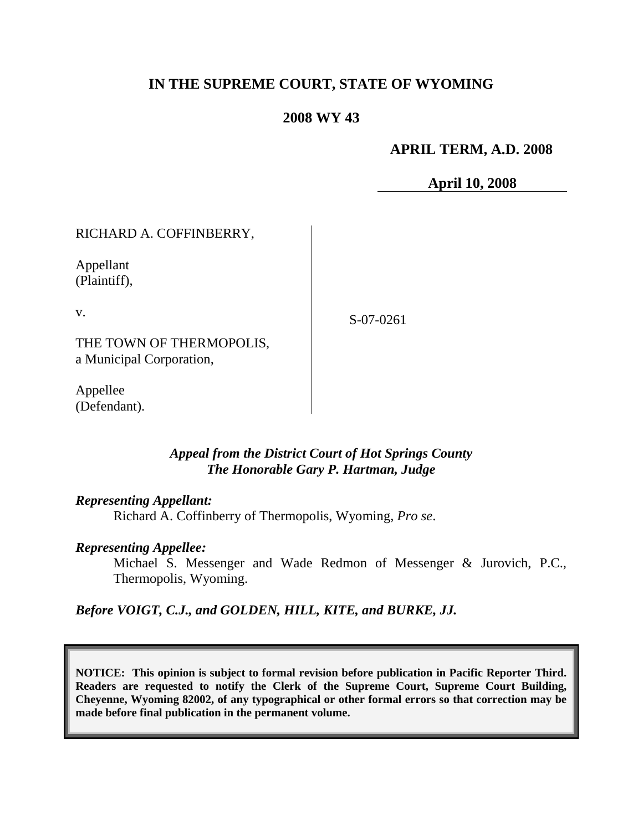# **IN THE SUPREME COURT, STATE OF WYOMING**

## **2008 WY 43**

## **APRIL TERM, A.D. 2008**

**April 10, 2008**

RICHARD A. COFFINBERRY,

Appellant (Plaintiff),

v.

S-07-0261

THE TOWN OF THERMOPOLIS, a Municipal Corporation,

Appellee (Defendant).

## *Appeal from the District Court of Hot Springs County The Honorable Gary P. Hartman, Judge*

#### *Representing Appellant:*

Richard A. Coffinberry of Thermopolis, Wyoming, *Pro se*.

#### *Representing Appellee:*

Michael S. Messenger and Wade Redmon of Messenger & Jurovich, P.C., Thermopolis, Wyoming.

*Before VOIGT, C.J., and GOLDEN, HILL, KITE, and BURKE, JJ.*

**NOTICE: This opinion is subject to formal revision before publication in Pacific Reporter Third. Readers are requested to notify the Clerk of the Supreme Court, Supreme Court Building, Cheyenne, Wyoming 82002, of any typographical or other formal errors so that correction may be made before final publication in the permanent volume.**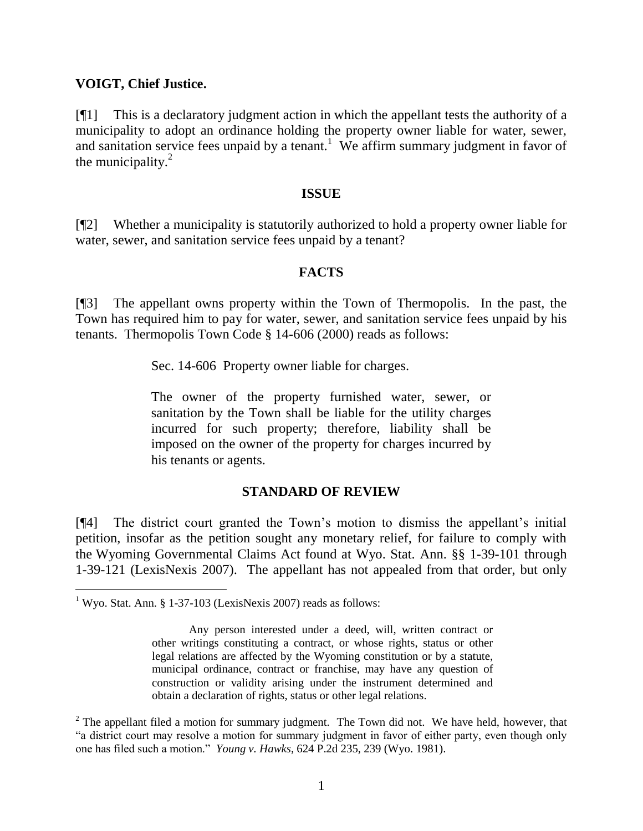### **VOIGT, Chief Justice.**

[¶1] This is a declaratory judgment action in which the appellant tests the authority of a municipality to adopt an ordinance holding the property owner liable for water, sewer, and sanitation service fees unpaid by a tenant.<sup>1</sup> We affirm summary judgment in favor of the municipality. $^{2}$ 

#### **ISSUE**

[¶2] Whether a municipality is statutorily authorized to hold a property owner liable for water, sewer, and sanitation service fees unpaid by a tenant?

#### **FACTS**

[¶3] The appellant owns property within the Town of Thermopolis. In the past, the Town has required him to pay for water, sewer, and sanitation service fees unpaid by his tenants. Thermopolis Town Code § 14-606 (2000) reads as follows:

Sec. 14-606 Property owner liable for charges.

The owner of the property furnished water, sewer, or sanitation by the Town shall be liable for the utility charges incurred for such property; therefore, liability shall be imposed on the owner of the property for charges incurred by his tenants or agents.

#### **STANDARD OF REVIEW**

[¶4] The district court granted the Town's motion to dismiss the appellant's initial petition, insofar as the petition sought any monetary relief, for failure to comply with the Wyoming Governmental Claims Act found at Wyo. Stat. Ann. §§ 1-39-101 through 1-39-121 (LexisNexis 2007). The appellant has not appealed from that order, but only

 $\overline{a}$ 

<sup>&</sup>lt;sup>1</sup> Wyo. Stat. Ann. § 1-37-103 (LexisNexis 2007) reads as follows:

Any person interested under a deed, will, written contract or other writings constituting a contract, or whose rights, status or other legal relations are affected by the Wyoming constitution or by a statute, municipal ordinance, contract or franchise, may have any question of construction or validity arising under the instrument determined and obtain a declaration of rights, status or other legal relations.

 $2^2$  The appellant filed a motion for summary judgment. The Town did not. We have held, however, that "a district court may resolve a motion for summary judgment in favor of either party, even though only one has filed such a motion." *Young v. Hawks*, 624 P.2d 235, 239 (Wyo. 1981).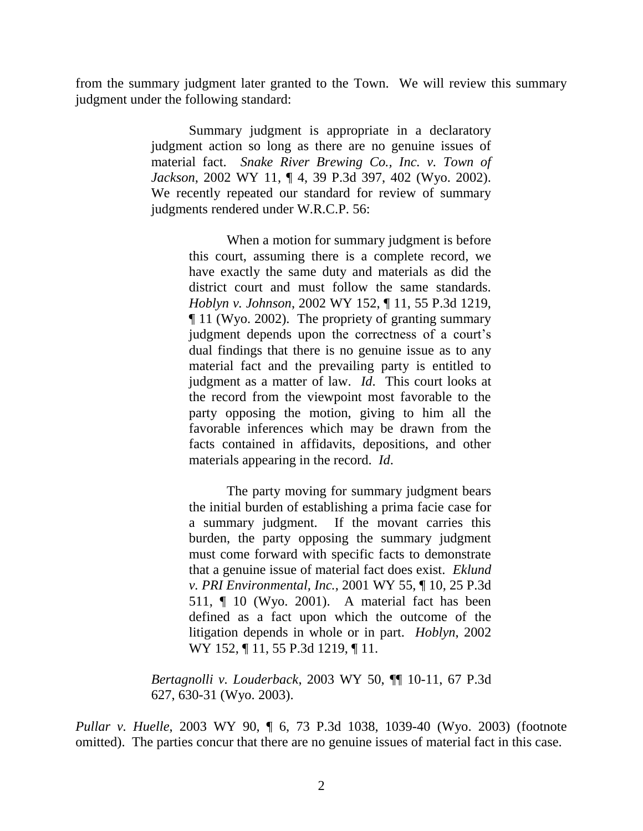from the summary judgment later granted to the Town. We will review this summary judgment under the following standard:

> Summary judgment is appropriate in a declaratory judgment action so long as there are no genuine issues of material fact. *Snake River Brewing Co., Inc. v. Town of Jackson*, 2002 WY 11, ¶ 4, 39 P.3d 397, 402 (Wyo. 2002). We recently repeated our standard for review of summary judgments rendered under W.R.C.P. 56:

> > When a motion for summary judgment is before this court, assuming there is a complete record, we have exactly the same duty and materials as did the district court and must follow the same standards. *Hoblyn v. Johnson*, 2002 WY 152, ¶ 11, 55 P.3d 1219, ¶ 11 (Wyo. 2002). The propriety of granting summary judgment depends upon the correctness of a court's dual findings that there is no genuine issue as to any material fact and the prevailing party is entitled to judgment as a matter of law. *Id*. This court looks at the record from the viewpoint most favorable to the party opposing the motion, giving to him all the favorable inferences which may be drawn from the facts contained in affidavits, depositions, and other materials appearing in the record. *Id*.

> > The party moving for summary judgment bears the initial burden of establishing a prima facie case for a summary judgment. If the movant carries this burden, the party opposing the summary judgment must come forward with specific facts to demonstrate that a genuine issue of material fact does exist. *Eklund v. PRI Environmental, Inc.*, 2001 WY 55, ¶ 10, 25 P.3d 511, ¶ 10 (Wyo. 2001). A material fact has been defined as a fact upon which the outcome of the litigation depends in whole or in part. *Hoblyn*, 2002 WY 152, ¶ 11, 55 P.3d 1219, ¶ 11.

*Bertagnolli v. Louderback*, 2003 WY 50, ¶¶ 10-11, 67 P.3d 627, 630-31 (Wyo. 2003).

*Pullar v. Huelle*, 2003 WY 90, ¶ 6, 73 P.3d 1038, 1039-40 (Wyo. 2003) (footnote omitted). The parties concur that there are no genuine issues of material fact in this case.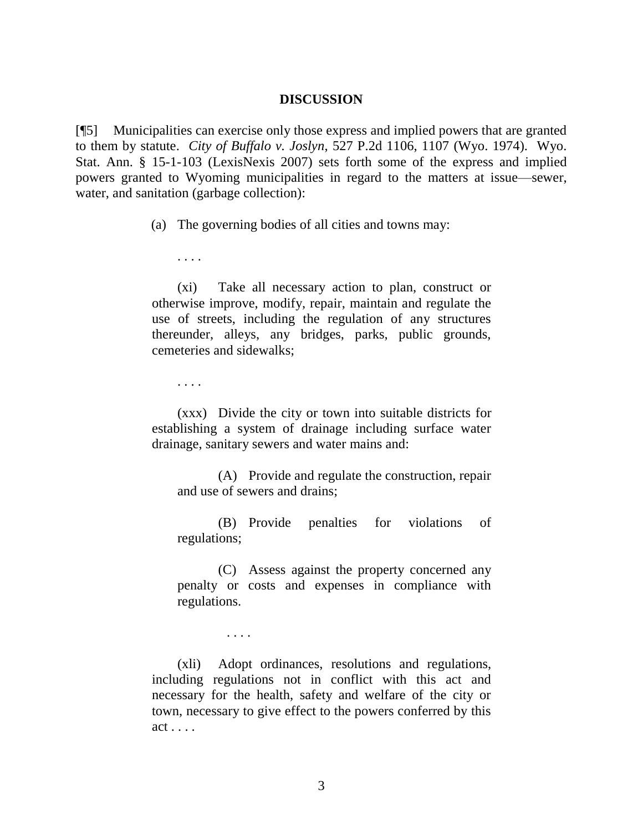#### **DISCUSSION**

[¶5] Municipalities can exercise only those express and implied powers that are granted to them by statute. *City of Buffalo v. Joslyn*, 527 P.2d 1106, 1107 (Wyo. 1974). Wyo. Stat. Ann. § 15-1-103 (LexisNexis 2007) sets forth some of the express and implied powers granted to Wyoming municipalities in regard to the matters at issue—sewer, water, and sanitation (garbage collection):

(a) The governing bodies of all cities and towns may:

. . . .

(xi) Take all necessary action to plan, construct or otherwise improve, modify, repair, maintain and regulate the use of streets, including the regulation of any structures thereunder, alleys, any bridges, parks, public grounds, cemeteries and sidewalks;

. . . .

(xxx) Divide the city or town into suitable districts for establishing a system of drainage including surface water drainage, sanitary sewers and water mains and:

(A) Provide and regulate the construction, repair and use of sewers and drains;

(B) Provide penalties for violations of regulations;

(C) Assess against the property concerned any penalty or costs and expenses in compliance with regulations.

. . . .

(xli) Adopt ordinances, resolutions and regulations, including regulations not in conflict with this act and necessary for the health, safety and welfare of the city or town, necessary to give effect to the powers conferred by this act . . . .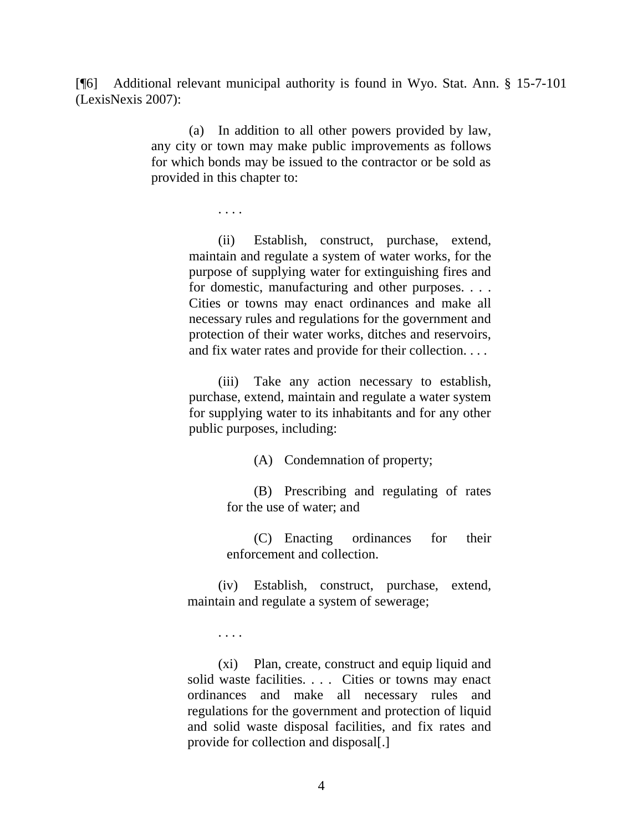[¶6] Additional relevant municipal authority is found in Wyo. Stat. Ann. § 15-7-101 (LexisNexis 2007):

> (a) In addition to all other powers provided by law, any city or town may make public improvements as follows for which bonds may be issued to the contractor or be sold as provided in this chapter to:

> > . . . .

(ii) Establish, construct, purchase, extend, maintain and regulate a system of water works, for the purpose of supplying water for extinguishing fires and for domestic, manufacturing and other purposes. . . . Cities or towns may enact ordinances and make all necessary rules and regulations for the government and protection of their water works, ditches and reservoirs, and fix water rates and provide for their collection. . . .

(iii) Take any action necessary to establish, purchase, extend, maintain and regulate a water system for supplying water to its inhabitants and for any other public purposes, including:

(A) Condemnation of property;

(B) Prescribing and regulating of rates for the use of water; and

(C) Enacting ordinances for their enforcement and collection.

(iv) Establish, construct, purchase, extend, maintain and regulate a system of sewerage;

. . . .

(xi) Plan, create, construct and equip liquid and solid waste facilities. . . . Cities or towns may enact ordinances and make all necessary rules and regulations for the government and protection of liquid and solid waste disposal facilities, and fix rates and provide for collection and disposal[.]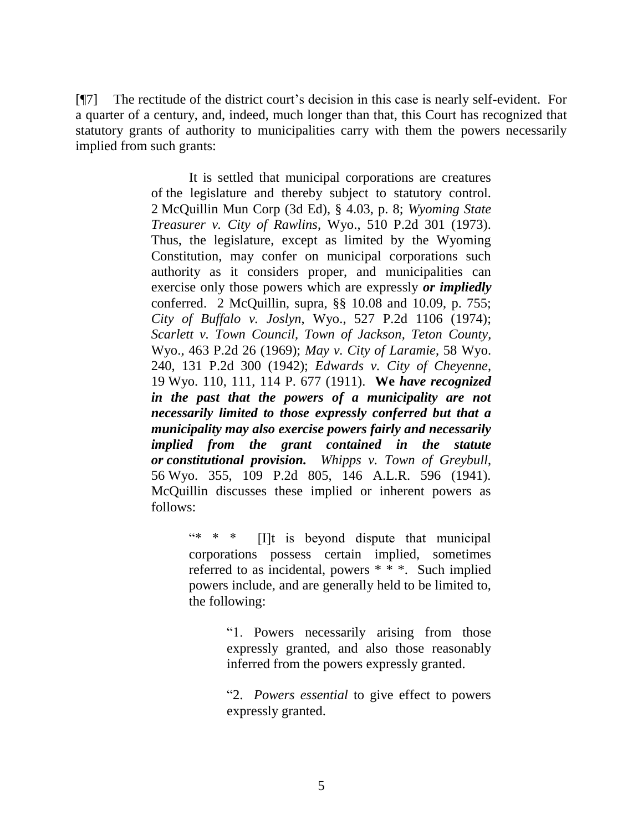[¶7] The rectitude of the district court's decision in this case is nearly self-evident. For a quarter of a century, and, indeed, much longer than that, this Court has recognized that statutory grants of authority to municipalities carry with them the powers necessarily implied from such grants:

> It is settled that municipal corporations are creatures of the legislature and thereby subject to statutory control. 2 McQuillin Mun Corp (3d Ed), § 4.03, p. 8; *Wyoming State Treasurer v. City of Rawlins*, Wyo., 510 P.2d 301 (1973). Thus, the legislature, except as limited by the Wyoming Constitution, may confer on municipal corporations such authority as it considers proper, and municipalities can exercise only those powers which are expressly *or impliedly* conferred. 2 McQuillin, supra, §§ 10.08 and 10.09, p. 755; *City of Buffalo v. Joslyn*, Wyo., 527 P.2d 1106 (1974); *Scarlett v. Town Council, Town of Jackson, Teton County*, Wyo., 463 P.2d 26 (1969); *May v. City of Laramie*, 58 Wyo. 240, 131 P.2d 300 (1942); *Edwards v. City of Cheyenne*, 19 Wyo. 110, 111, 114 P. 677 (1911). **We** *have recognized in the past that the powers of a municipality are not necessarily limited to those expressly conferred but that a municipality may also exercise powers fairly and necessarily implied from the grant contained in the statute or constitutional provision. Whipps v. Town of Greybull*, 56 Wyo. 355, 109 P.2d 805, 146 A.L.R. 596 (1941). McQuillin discusses these implied or inherent powers as follows:

> > "\* \* \* [I]t is beyond dispute that municipal corporations possess certain implied, sometimes referred to as incidental, powers \* \* \*. Such implied powers include, and are generally held to be limited to, the following:

> > > "1. Powers necessarily arising from those expressly granted, and also those reasonably inferred from the powers expressly granted.

> > > "2. *Powers essential* to give effect to powers expressly granted.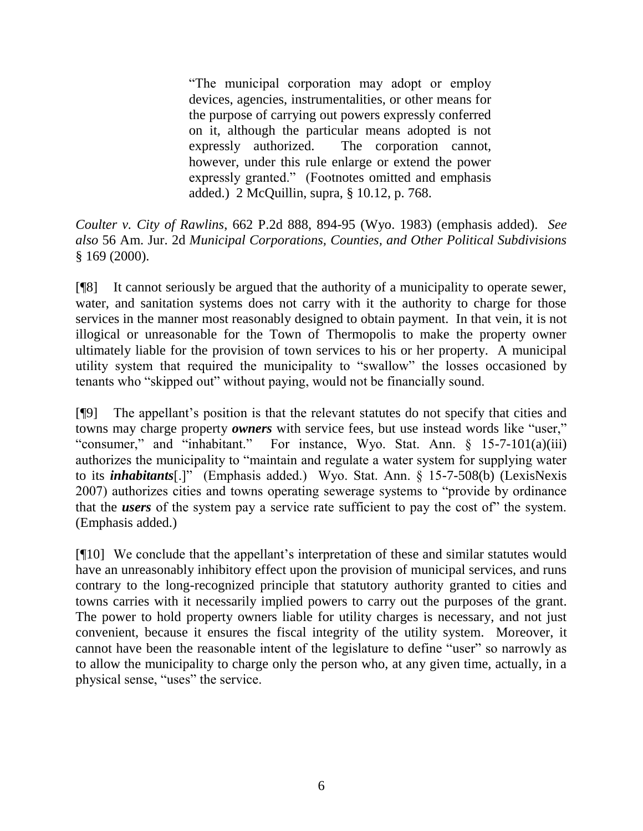"The municipal corporation may adopt or employ devices, agencies, instrumentalities, or other means for the purpose of carrying out powers expressly conferred on it, although the particular means adopted is not expressly authorized. The corporation cannot, however, under this rule enlarge or extend the power expressly granted." (Footnotes omitted and emphasis added.) 2 McQuillin, supra, § 10.12, p. 768.

*Coulter v. City of Rawlins*, 662 P.2d 888, 894-95 (Wyo. 1983) (emphasis added). *See also* 56 Am. Jur. 2d *Municipal Corporations, Counties, and Other Political Subdivisions* § 169 (2000).

[¶8] It cannot seriously be argued that the authority of a municipality to operate sewer, water, and sanitation systems does not carry with it the authority to charge for those services in the manner most reasonably designed to obtain payment. In that vein, it is not illogical or unreasonable for the Town of Thermopolis to make the property owner ultimately liable for the provision of town services to his or her property. A municipal utility system that required the municipality to "swallow" the losses occasioned by tenants who "skipped out" without paying, would not be financially sound.

[¶9] The appellant's position is that the relevant statutes do not specify that cities and towns may charge property *owners* with service fees, but use instead words like "user," "consumer," and "inhabitant." For instance, Wyo. Stat. Ann. § 15-7-101(a)(iii) authorizes the municipality to "maintain and regulate a water system for supplying water to its *inhabitants*[.]" (Emphasis added.) Wyo. Stat. Ann. § 15-7-508(b) (LexisNexis 2007) authorizes cities and towns operating sewerage systems to "provide by ordinance that the *users* of the system pay a service rate sufficient to pay the cost of" the system. (Emphasis added.)

[¶10] We conclude that the appellant's interpretation of these and similar statutes would have an unreasonably inhibitory effect upon the provision of municipal services, and runs contrary to the long-recognized principle that statutory authority granted to cities and towns carries with it necessarily implied powers to carry out the purposes of the grant. The power to hold property owners liable for utility charges is necessary, and not just convenient, because it ensures the fiscal integrity of the utility system. Moreover, it cannot have been the reasonable intent of the legislature to define "user" so narrowly as to allow the municipality to charge only the person who, at any given time, actually, in a physical sense, "uses" the service.